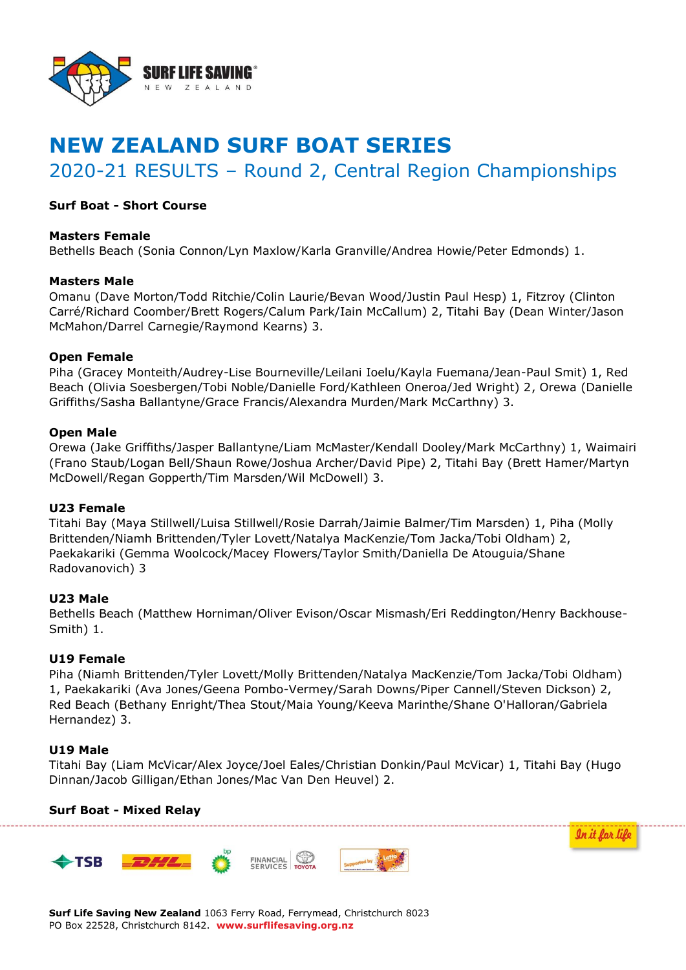

# **NEW ZEALAND SURF BOAT SERIES**

2020-21 RESULTS – Round 2, Central Region Championships

## **Surf Boat - Short Course**

### **Masters Female**

Bethells Beach (Sonia Connon/Lyn Maxlow/Karla Granville/Andrea Howie/Peter Edmonds) 1.

### **Masters Male**

Omanu (Dave Morton/Todd Ritchie/Colin Laurie/Bevan Wood/Justin Paul Hesp) 1, Fitzroy (Clinton Carré/Richard Coomber/Brett Rogers/Calum Park/Iain McCallum) 2, Titahi Bay (Dean Winter/Jason McMahon/Darrel Carnegie/Raymond Kearns) 3.

## **Open Female**

Piha (Gracey Monteith/Audrey-Lise Bourneville/Leilani Ioelu/Kayla Fuemana/Jean-Paul Smit) 1, Red Beach (Olivia Soesbergen/Tobi Noble/Danielle Ford/Kathleen Oneroa/Jed Wright) 2, Orewa (Danielle Griffiths/Sasha Ballantyne/Grace Francis/Alexandra Murden/Mark McCarthny) 3.

## **Open Male**

Orewa (Jake Griffiths/Jasper Ballantyne/Liam McMaster/Kendall Dooley/Mark McCarthny) 1, Waimairi (Frano Staub/Logan Bell/Shaun Rowe/Joshua Archer/David Pipe) 2, Titahi Bay (Brett Hamer/Martyn McDowell/Regan Gopperth/Tim Marsden/Wil McDowell) 3.

### **U23 Female**

Titahi Bay (Maya Stillwell/Luisa Stillwell/Rosie Darrah/Jaimie Balmer/Tim Marsden) 1, Piha (Molly Brittenden/Niamh Brittenden/Tyler Lovett/Natalya MacKenzie/Tom Jacka/Tobi Oldham) 2, Paekakariki (Gemma Woolcock/Macey Flowers/Taylor Smith/Daniella De Atouguia/Shane Radovanovich) 3

## **U23 Male**

Bethells Beach (Matthew Horniman/Oliver Evison/Oscar Mismash/Eri Reddington/Henry Backhouse-Smith) 1.

### **U19 Female**

Piha (Niamh Brittenden/Tyler Lovett/Molly Brittenden/Natalya MacKenzie/Tom Jacka/Tobi Oldham) 1, Paekakariki (Ava Jones/Geena Pombo-Vermey/Sarah Downs/Piper Cannell/Steven Dickson) 2, Red Beach (Bethany Enright/Thea Stout/Maia Young/Keeva Marinthe/Shane O'Halloran/Gabriela Hernandez) 3.

### **U19 Male**

Titahi Bay (Liam McVicar/Alex Joyce/Joel Eales/Christian Donkin/Paul McVicar) 1, Titahi Bay (Hugo Dinnan/Jacob Gilligan/Ethan Jones/Mac Van Den Heuvel) 2.

### **Surf Boat - Mixed Relay**



**Surf Life Saving New Zealand** 1063 Ferry Road, Ferrymead, Christchurch 8023 PO Box 22528, Christchurch 8142. **www.surflifesaving.org.nz**

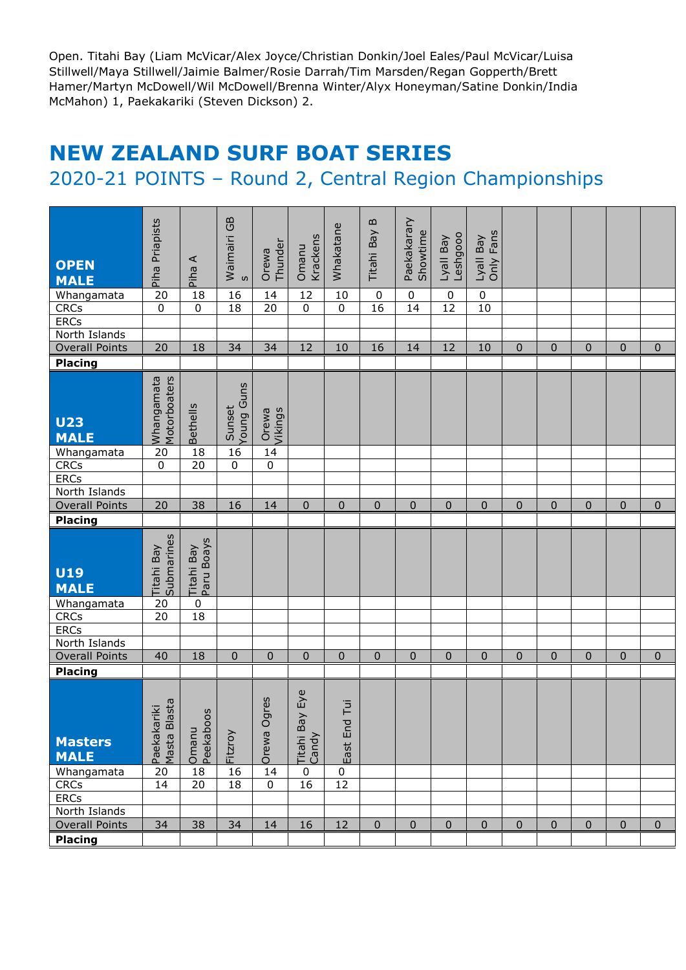Open. Titahi Bay (Liam McVicar/Alex Joyce/Christian Donkin/Joel Eales/Paul McVicar/Luisa Stillwell/Maya Stillwell/Jaimie Balmer/Rosie Darrah/Tim Marsden/Regan Gopperth/Brett Hamer/Martyn McDowell/Wil McDowell/Brenna Winter/Alyx Honeyman/Satine Donkin/India McMahon) 1, Paekakariki (Steven Dickson) 2.

## **NEW ZEALAND SURF BOAT SERIES**

## 2020-21 POINTS – Round 2, Central Region Championships

|                                         |                                   |                          |                      |                  |                    |                 | $\mathbf{m}$   |                         |                  |             |              |             |             |              |                |
|-----------------------------------------|-----------------------------------|--------------------------|----------------------|------------------|--------------------|-----------------|----------------|-------------------------|------------------|-------------|--------------|-------------|-------------|--------------|----------------|
|                                         | Piha Priapists                    |                          | Waimairi GB          |                  |                    | Whakatane       | Titahi Bay     | Paekakarary<br>Showtime | Leshgooo         | Only Fans   |              |             |             |              |                |
| <b>OPEN</b>                             |                                   | ⋖                        |                      | Thunder<br>Orewa | Krackens<br>Omanu  |                 |                |                         | Lyall Bay        | Lyall Bay   |              |             |             |              |                |
| <b>MALE</b>                             |                                   | Piha                     | S                    |                  |                    |                 |                |                         |                  |             |              |             |             |              |                |
| Whangamata                              | 20                                | 18                       | 16                   | 14               | 12                 | 10              | $\mathbf 0$    | $\pmb{0}$               | $\boldsymbol{0}$ | $\pmb{0}$   |              |             |             |              |                |
| <b>CRCs</b>                             | $\mathbf 0$                       | $\mathbf 0$              | 18                   | 20               | $\mathbf 0$        | $\mathbf 0$     | 16             | 14                      | $\overline{12}$  | 10          |              |             |             |              |                |
| <b>ERCs</b>                             |                                   |                          |                      |                  |                    |                 |                |                         |                  |             |              |             |             |              |                |
| North Islands                           |                                   |                          |                      |                  |                    |                 |                |                         |                  |             |              |             |             |              |                |
| <b>Overall Points</b>                   | 20                                | 18                       | 34                   | 34               | 12                 | 10              | 16             | 14                      | 12               | 10          | 0            | $\pmb{0}$   | $\mathbf 0$ | $\mathbf 0$  | $\bf{0}$       |
| <b>Placing</b>                          |                                   |                          |                      |                  |                    |                 |                |                         |                  |             |              |             |             |              |                |
| <b>U23</b><br><b>MALE</b>               | Whangamata<br>Motorboaters        | <b>Bethells</b>          | Young Guns<br>Sunset | Vikings<br>Orewa |                    |                 |                |                         |                  |             |              |             |             |              |                |
| Whangamata                              | 20                                | 18                       | 16                   | 14               |                    |                 |                |                         |                  |             |              |             |             |              |                |
| <b>CRCs</b>                             | $\mathbf 0$                       | 20                       | 0                    | $\pmb{0}$        |                    |                 |                |                         |                  |             |              |             |             |              |                |
| <b>ERCs</b><br>North Islands            |                                   |                          |                      |                  |                    |                 |                |                         |                  |             |              |             |             |              |                |
| <b>Overall Points</b>                   | 20                                | 38                       | 16                   | 14               | $\Omega$           | $\Omega$        | $\overline{0}$ | $\Omega$                | $\overline{0}$   | $\mathbf 0$ | $\mathbf 0$  | $\mathbf 0$ | $\mathbf 0$ | $\Omega$     | $\mathbf 0$    |
| <b>Placing</b>                          |                                   |                          |                      |                  |                    |                 |                |                         |                  |             |              |             |             |              |                |
|                                         |                                   |                          |                      |                  |                    |                 |                |                         |                  |             |              |             |             |              |                |
| <b>U19</b><br><b>MALE</b>               | Titahi Bay<br>Submarines          | Titahi Bay<br>Paru Boays |                      |                  |                    |                 |                |                         |                  |             |              |             |             |              |                |
| Whangamata                              | 20                                | $\pmb{0}$                |                      |                  |                    |                 |                |                         |                  |             |              |             |             |              |                |
| <b>CRCs</b>                             | 20                                | 18                       |                      |                  |                    |                 |                |                         |                  |             |              |             |             |              |                |
| <b>ERCs</b><br>North Islands            |                                   |                          |                      |                  |                    |                 |                |                         |                  |             |              |             |             |              |                |
| <b>Overall Points</b>                   | 40                                | 18                       | 0                    | $\Omega$         | $\mathbf 0$        | $\mathbf{0}$    | $\mathbf 0$    | $\Omega$                | $\mathbf 0$      | $\mathbf 0$ | $\mathbf{0}$ | $\mathbf 0$ | $\Omega$    | $\mathbf{0}$ | $\overline{0}$ |
| <b>Placing</b>                          |                                   |                          |                      |                  |                    |                 |                |                         |                  |             |              |             |             |              |                |
|                                         |                                   |                          |                      |                  |                    |                 |                |                         |                  |             |              |             |             |              |                |
|                                         |                                   |                          |                      | Ogres            | ay Eye             | Tui             |                |                         |                  |             |              |             |             |              |                |
| <b>Masters</b><br><b>MALE</b>           |                                   |                          | Fitzroy              | Orewa            | Titahi Ba<br>Candy | End<br>East     |                |                         |                  |             |              |             |             |              |                |
| Whangamata                              | Paekakariki<br>Masta Blasta<br>20 | Omanu<br>Peekaboos<br>18 | 16                   | 14               | $\pmb{0}$          | $\pmb{0}$       |                |                         |                  |             |              |             |             |              |                |
| <b>CRCs</b>                             | 14                                | 20                       | 18                   | $\mathsf 0$      | 16                 | $\overline{12}$ |                |                         |                  |             |              |             |             |              |                |
| <b>ERCs</b>                             |                                   |                          |                      |                  |                    |                 |                |                         |                  |             |              |             |             |              |                |
| North Islands                           |                                   |                          |                      |                  |                    |                 |                |                         |                  |             |              |             |             |              |                |
| <b>Overall Points</b><br><b>Placing</b> | 34                                | 38                       | 34                   | 14               | 16                 | 12              | $\mathbf 0$    | $\mathbf 0$             | $\mathbf 0$      | $\mathbf 0$ | $\pmb{0}$    | $\mathbf 0$ | $\mathbf 0$ | $\mathbf 0$  | 0              |